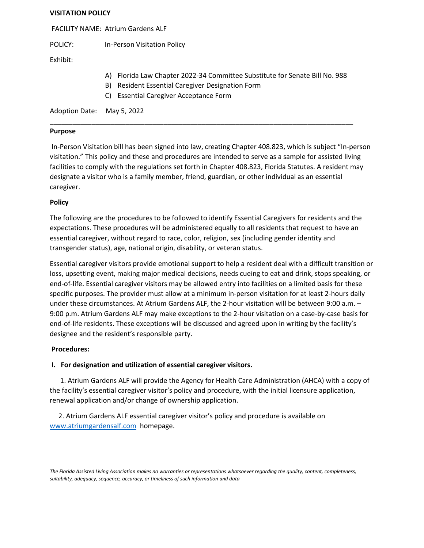#### **VISITATION POLICY**

FACILITY NAME: Atrium Gardens ALF

POLICY: In-Person Visitation Policy

Exhibit:

- A) Florida Law Chapter 2022-34 Committee Substitute for Senate Bill No. 988
- B) Resident Essential Caregiver Designation Form
- C) Essential Caregiver Acceptance Form

Adoption Date: May 5, 2022

## **Purpose**

In-Person Visitation bill has been signed into law, creating Chapter 408.823, which is subject "In-person visitation." This policy and these and procedures are intended to serve as a sample for assisted living facilities to comply with the regulations set forth in Chapter 408.823, Florida Statutes. A resident may designate a visitor who is a family member, friend, guardian, or other individual as an essential caregiver.

\_\_\_\_\_\_\_\_\_\_\_\_\_\_\_\_\_\_\_\_\_\_\_\_\_\_\_\_\_\_\_\_\_\_\_\_\_\_\_\_\_\_\_\_\_\_\_\_\_\_\_\_\_\_\_\_\_\_\_\_\_\_\_\_\_\_\_\_\_\_\_\_\_\_\_\_\_\_\_\_

# **Policy**

The following are the procedures to be followed to identify Essential Caregivers for residents and the expectations. These procedures will be administered equally to all residents that request to have an essential caregiver, without regard to race, color, religion, sex (including gender identity and transgender status), age, national origin, disability, or veteran status.

Essential caregiver visitors provide emotional support to help a resident deal with a difficult transition or loss, upsetting event, making major medical decisions, needs cueing to eat and drink, stops speaking, or end-of-life. Essential caregiver visitors may be allowed entry into facilities on a limited basis for these specific purposes. The provider must allow at a minimum in-person visitation for at least 2-hours daily under these circumstances. At Atrium Gardens ALF, the 2-hour visitation will be between 9:00 a.m. – 9:00 p.m. Atrium Gardens ALF may make exceptions to the 2-hour visitation on a case-by-case basis for end-of-life residents. These exceptions will be discussed and agreed upon in writing by the facility's designee and the resident's responsible party.

# **Procedures:**

# **I. For designation and utilization of essential caregiver visitors.**

 1. Atrium Gardens ALF will provide the Agency for Health Care Administration (AHCA) with a copy of the facility's essential caregiver visitor's policy and procedure, with the initial licensure application, renewal application and/or change of ownership application.

 2. Atrium Gardens ALF essential caregiver visitor's policy and procedure is available on [www.atriumgardensalf.com](http://www.atriumgardensalf.com/) homepage.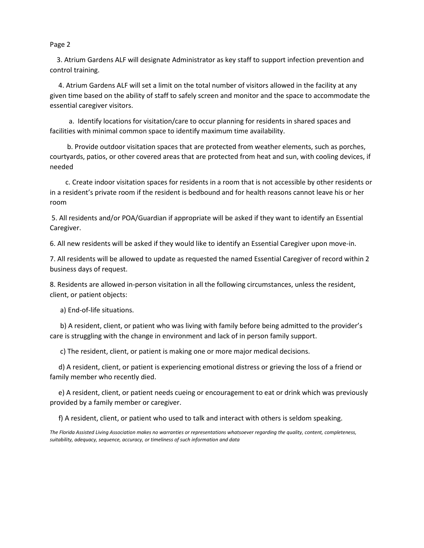Page 2

 3. Atrium Gardens ALF will designate Administrator as key staff to support infection prevention and control training.

 4. Atrium Gardens ALF will set a limit on the total number of visitors allowed in the facility at any given time based on the ability of staff to safely screen and monitor and the space to accommodate the essential caregiver visitors.

 a. Identify locations for visitation/care to occur planning for residents in shared spaces and facilities with minimal common space to identify maximum time availability.

 b. Provide outdoor visitation spaces that are protected from weather elements, such as porches, courtyards, patios, or other covered areas that are protected from heat and sun, with cooling devices, if needed

 c. Create indoor visitation spaces for residents in a room that is not accessible by other residents or in a resident's private room if the resident is bedbound and for health reasons cannot leave his or her room

5. All residents and/or POA/Guardian if appropriate will be asked if they want to identify an Essential Caregiver.

6. All new residents will be asked if they would like to identify an Essential Caregiver upon move-in.

7. All residents will be allowed to update as requested the named Essential Caregiver of record within 2 business days of request.

8. Residents are allowed in-person visitation in all the following circumstances, unless the resident, client, or patient objects:

a) End-of-life situations.

 b) A resident, client, or patient who was living with family before being admitted to the provider's care is struggling with the change in environment and lack of in person family support.

c) The resident, client, or patient is making one or more major medical decisions.

 d) A resident, client, or patient is experiencing emotional distress or grieving the loss of a friend or family member who recently died.

 e) A resident, client, or patient needs cueing or encouragement to eat or drink which was previously provided by a family member or caregiver.

f) A resident, client, or patient who used to talk and interact with others is seldom speaking.

*The Florida Assisted Living Association makes no warranties or representations whatsoever regarding the quality, content, completeness, suitability, adequacy, sequence, accuracy, or timeliness of such information and data*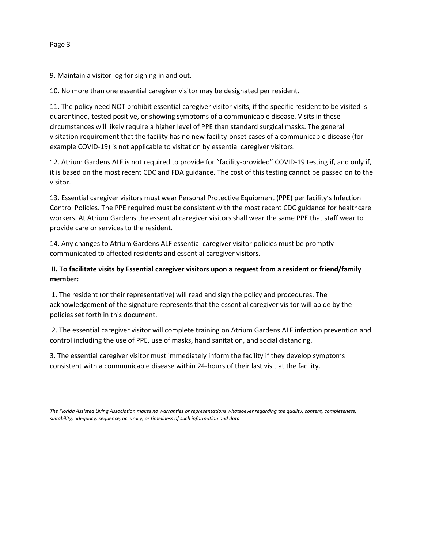9. Maintain a visitor log for signing in and out.

10. No more than one essential caregiver visitor may be designated per resident.

11. The policy need NOT prohibit essential caregiver visitor visits, if the specific resident to be visited is quarantined, tested positive, or showing symptoms of a communicable disease. Visits in these circumstances will likely require a higher level of PPE than standard surgical masks. The general visitation requirement that the facility has no new facility-onset cases of a communicable disease (for example COVID-19) is not applicable to visitation by essential caregiver visitors.

12. Atrium Gardens ALF is not required to provide for "facility-provided" COVID-19 testing if, and only if, it is based on the most recent CDC and FDA guidance. The cost of this testing cannot be passed on to the visitor.

13. Essential caregiver visitors must wear Personal Protective Equipment (PPE) per facility's Infection Control Policies. The PPE required must be consistent with the most recent CDC guidance for healthcare workers. At Atrium Gardens the essential caregiver visitors shall wear the same PPE that staff wear to provide care or services to the resident.

14. Any changes to Atrium Gardens ALF essential caregiver visitor policies must be promptly communicated to affected residents and essential caregiver visitors.

# **II. To facilitate visits by Essential caregiver visitors upon a request from a resident or friend/family member:**

1. The resident (or their representative) will read and sign the policy and procedures. The acknowledgement of the signature represents that the essential caregiver visitor will abide by the policies set forth in this document.

2. The essential caregiver visitor will complete training on Atrium Gardens ALF infection prevention and control including the use of PPE, use of masks, hand sanitation, and social distancing.

3. The essential caregiver visitor must immediately inform the facility if they develop symptoms consistent with a communicable disease within 24-hours of their last visit at the facility.

*The Florida Assisted Living Association makes no warranties or representations whatsoever regarding the quality, content, completeness, suitability, adequacy, sequence, accuracy, or timeliness of such information and data*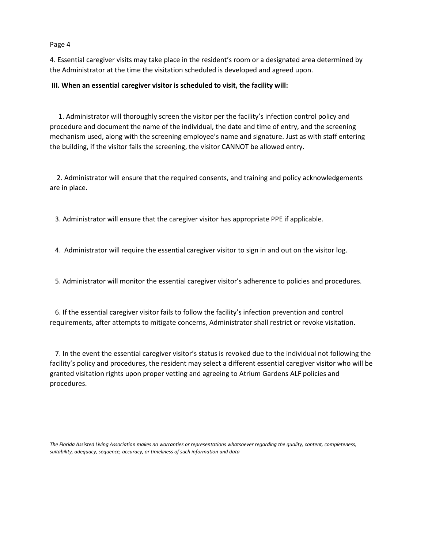Page 4

4. Essential caregiver visits may take place in the resident's room or a designated area determined by the Administrator at the time the visitation scheduled is developed and agreed upon.

## **III. When an essential caregiver visitor is scheduled to visit, the facility will:**

 1. Administrator will thoroughly screen the visitor per the facility's infection control policy and procedure and document the name of the individual, the date and time of entry, and the screening mechanism used, along with the screening employee's name and signature. Just as with staff entering the building, if the visitor fails the screening, the visitor CANNOT be allowed entry.

 2. Administrator will ensure that the required consents, and training and policy acknowledgements are in place.

3. Administrator will ensure that the caregiver visitor has appropriate PPE if applicable.

4. Administrator will require the essential caregiver visitor to sign in and out on the visitor log.

5. Administrator will monitor the essential caregiver visitor's adherence to policies and procedures.

 6. If the essential caregiver visitor fails to follow the facility's infection prevention and control requirements, after attempts to mitigate concerns, Administrator shall restrict or revoke visitation.

 7. In the event the essential caregiver visitor's status is revoked due to the individual not following the facility's policy and procedures, the resident may select a different essential caregiver visitor who will be granted visitation rights upon proper vetting and agreeing to Atrium Gardens ALF policies and procedures.

*The Florida Assisted Living Association makes no warranties or representations whatsoever regarding the quality, content, completeness, suitability, adequacy, sequence, accuracy, or timeliness of such information and data*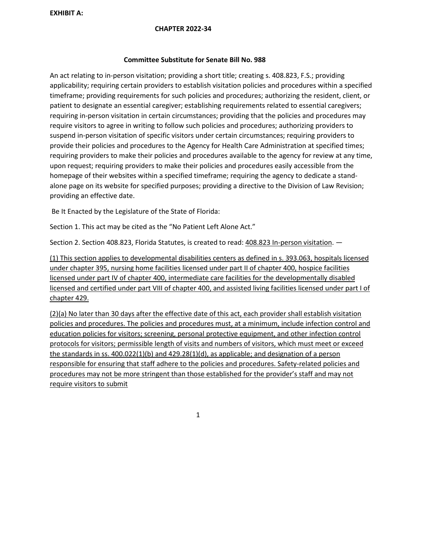**EXHIBIT A:** 

#### **CHAPTER 2022-34**

## **Committee Substitute for Senate Bill No. 988**

An act relating to in-person visitation; providing a short title; creating s. 408.823, F.S.; providing applicability; requiring certain providers to establish visitation policies and procedures within a specified timeframe; providing requirements for such policies and procedures; authorizing the resident, client, or patient to designate an essential caregiver; establishing requirements related to essential caregivers; requiring in-person visitation in certain circumstances; providing that the policies and procedures may require visitors to agree in writing to follow such policies and procedures; authorizing providers to suspend in-person visitation of specific visitors under certain circumstances; requiring providers to provide their policies and procedures to the Agency for Health Care Administration at specified times; requiring providers to make their policies and procedures available to the agency for review at any time, upon request; requiring providers to make their policies and procedures easily accessible from the homepage of their websites within a specified timeframe; requiring the agency to dedicate a standalone page on its website for specified purposes; providing a directive to the Division of Law Revision; providing an effective date.

Be It Enacted by the Legislature of the State of Florida:

Section 1. This act may be cited as the "No Patient Left Alone Act."

Section 2. Section 408.823, Florida Statutes, is created to read:  $408.823$  In-person visitation.  $-$ 

(1) This section applies to developmental disabilities centers as defined in s. 393.063, hospitals licensed under chapter 395, nursing home facilities licensed under part II of chapter 400, hospice facilities licensed under part IV of chapter 400, intermediate care facilities for the developmentally disabled licensed and certified under part VIII of chapter 400, and assisted living facilities licensed under part I of chapter 429.

(2)(a) No later than 30 days after the effective date of this act, each provider shall establish visitation policies and procedures. The policies and procedures must, at a minimum, include infection control and education policies for visitors; screening, personal protective equipment, and other infection control protocols for visitors; permissible length of visits and numbers of visitors, which must meet or exceed the standards in ss. 400.022(1)(b) and 429.28(1)(d), as applicable; and designation of a person responsible for ensuring that staff adhere to the policies and procedures. Safety-related policies and procedures may not be more stringent than those established for the provider's staff and may not require visitors to submit

1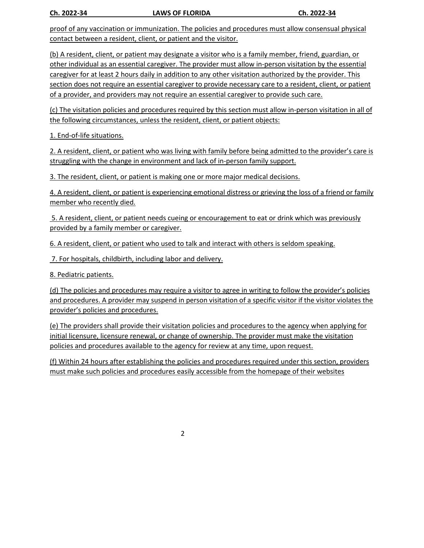**Ch. 2022-34 LAWS OF FLORIDA Ch. 2022-34**

proof of any vaccination or immunization. The policies and procedures must allow consensual physical contact between a resident, client, or patient and the visitor.

(b) A resident, client, or patient may designate a visitor who is a family member, friend, guardian, or other individual as an essential caregiver. The provider must allow in-person visitation by the essential caregiver for at least 2 hours daily in addition to any other visitation authorized by the provider. This section does not require an essential caregiver to provide necessary care to a resident, client, or patient of a provider, and providers may not require an essential caregiver to provide such care.

(c) The visitation policies and procedures required by this section must allow in-person visitation in all of the following circumstances, unless the resident, client, or patient objects:

1. End-of-life situations.

2. A resident, client, or patient who was living with family before being admitted to the provider's care is struggling with the change in environment and lack of in-person family support.

3. The resident, client, or patient is making one or more major medical decisions.

4. A resident, client, or patient is experiencing emotional distress or grieving the loss of a friend or family member who recently died.

5. A resident, client, or patient needs cueing or encouragement to eat or drink which was previously provided by a family member or caregiver.

6. A resident, client, or patient who used to talk and interact with others is seldom speaking.

7. For hospitals, childbirth, including labor and delivery.

8. Pediatric patients.

(d) The policies and procedures may require a visitor to agree in writing to follow the provider's policies and procedures. A provider may suspend in person visitation of a specific visitor if the visitor violates the provider's policies and procedures.

(e) The providers shall provide their visitation policies and procedures to the agency when applying for initial licensure, licensure renewal, or change of ownership. The provider must make the visitation policies and procedures available to the agency for review at any time, upon request.

(f) Within 24 hours after establishing the policies and procedures required under this section, providers must make such policies and procedures easily accessible from the homepage of their websites

2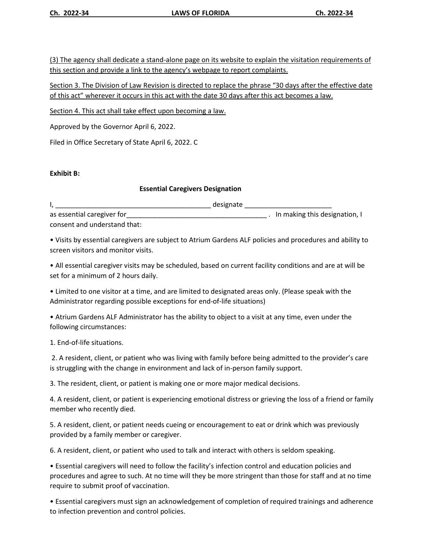(3) The agency shall dedicate a stand-alone page on its website to explain the visitation requirements of this section and provide a link to the agency's webpage to report complaints.

Section 3. The Division of Law Revision is directed to replace the phrase "30 days after the effective date of this act" wherever it occurs in this act with the date 30 days after this act becomes a law.

Section 4. This act shall take effect upon becoming a law.

Approved by the Governor April 6, 2022.

Filed in Office Secretary of State April 6, 2022. C

# **Exhibit B:**

# **Essential Caregivers Designation**

I, \_\_\_\_\_\_\_\_\_\_\_\_\_\_\_\_\_\_\_\_\_\_\_\_\_\_\_\_\_\_\_\_\_\_\_\_\_\_\_\_\_ designate \_\_\_\_\_\_\_\_\_\_\_\_\_\_\_\_\_\_\_\_\_\_\_

as essential caregiver for the contract of the contract of the contract of the contract of the contract of the contract of the contract of the contract of the contract of the contract of the contract of the contract of the consent and understand that:

• Visits by essential caregivers are subject to Atrium Gardens ALF policies and procedures and ability to screen visitors and monitor visits.

• All essential caregiver visits may be scheduled, based on current facility conditions and are at will be set for a minimum of 2 hours daily.

• Limited to one visitor at a time, and are limited to designated areas only. (Please speak with the Administrator regarding possible exceptions for end-of-life situations)

• Atrium Gardens ALF Administrator has the ability to object to a visit at any time, even under the following circumstances:

1. End-of-life situations.

2. A resident, client, or patient who was living with family before being admitted to the provider's care is struggling with the change in environment and lack of in-person family support.

3. The resident, client, or patient is making one or more major medical decisions.

4. A resident, client, or patient is experiencing emotional distress or grieving the loss of a friend or family member who recently died.

5. A resident, client, or patient needs cueing or encouragement to eat or drink which was previously provided by a family member or caregiver.

6. A resident, client, or patient who used to talk and interact with others is seldom speaking.

• Essential caregivers will need to follow the facility's infection control and education policies and procedures and agree to such. At no time will they be more stringent than those for staff and at no time require to submit proof of vaccination.

• Essential caregivers must sign an acknowledgement of completion of required trainings and adherence to infection prevention and control policies.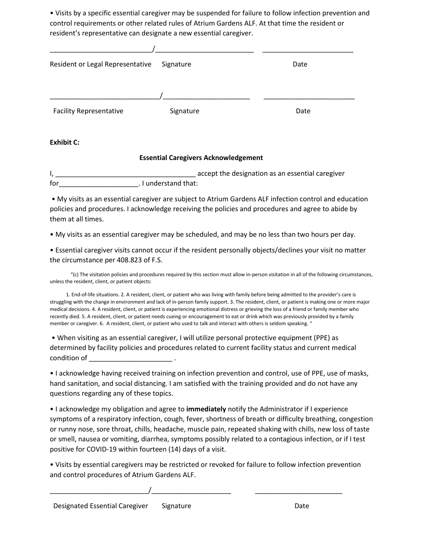• Visits by a specific essential caregiver may be suspended for failure to follow infection prevention and control requirements or other related rules of Atrium Gardens ALF. At that time the resident or resident's representative can designate a new essential caregiver.

| Resident or Legal Representative | Signature | Date |
|----------------------------------|-----------|------|
|                                  |           |      |
| <b>Facility Representative</b>   | Signature | Date |

**Exhibit C:**

# **Essential Caregivers Acknowledgement**

I, \_\_\_\_\_\_\_\_\_\_\_\_\_\_\_\_\_\_\_\_\_\_\_\_\_\_\_\_\_\_\_\_\_\_\_\_\_ accept the designation as an essential caregiver for the contract of the contract of the contract of the contract of the contract of the contract of the contract of the contract of the contract of the contract of the contract of the contract of the contract of the contra

• My visits as an essential caregiver are subject to Atrium Gardens ALF infection control and education policies and procedures. I acknowledge receiving the policies and procedures and agree to abide by them at all times.

• My visits as an essential caregiver may be scheduled, and may be no less than two hours per day.

• Essential caregiver visits cannot occur if the resident personally objects/declines your visit no matter the circumstance per 408.823 of F.S.

 "(c) The visitation policies and procedures required by this section must allow in-person visitation in all of the following circumstances, unless the resident, client, or patient objects:

 1. End-of-life situations. 2. A resident, client, or patient who was living with family before being admitted to the provider's care is struggling with the change in environment and lack of in-person family support. 3. The resident, client, or patient is making one or more major medical decisions. 4. A resident, client, or patient is experiencing emotional distress or grieving the loss of a friend or family member who recently died. 5. A resident, client, or patient needs cueing or encouragement to eat or drink which was previously provided by a family member or caregiver. 6. A resident, client, or patient who used to talk and interact with others is seldom speaking. "

• When visiting as an essential caregiver, I will utilize personal protective equipment (PPE) as determined by facility policies and procedures related to current facility status and current medical  $\qquad \qquad \text{condition of} \qquad \qquad \text{.}$ 

• I acknowledge having received training on infection prevention and control, use of PPE, use of masks, hand sanitation, and social distancing. I am satisfied with the training provided and do not have any questions regarding any of these topics.

• I acknowledge my obligation and agree to **immediately** notify the Administrator if I experience symptoms of a respiratory infection, cough, fever, shortness of breath or difficulty breathing, congestion or runny nose, sore throat, chills, headache, muscle pain, repeated shaking with chills, new loss of taste or smell, nausea or vomiting, diarrhea, symptoms possibly related to a contagious infection, or if I test positive for COVID-19 within fourteen (14) days of a visit.

• Visits by essential caregivers may be restricted or revoked for failure to follow infection prevention and control procedures of Atrium Gardens ALF.

\_\_\_\_\_\_\_\_\_\_\_\_\_\_\_\_\_\_\_\_\_\_\_\_\_\_/\_\_\_\_\_\_\_\_\_\_\_\_\_\_\_\_\_\_\_\_\_ \_\_\_\_\_\_\_\_\_\_\_\_\_\_\_\_\_\_\_\_\_\_\_